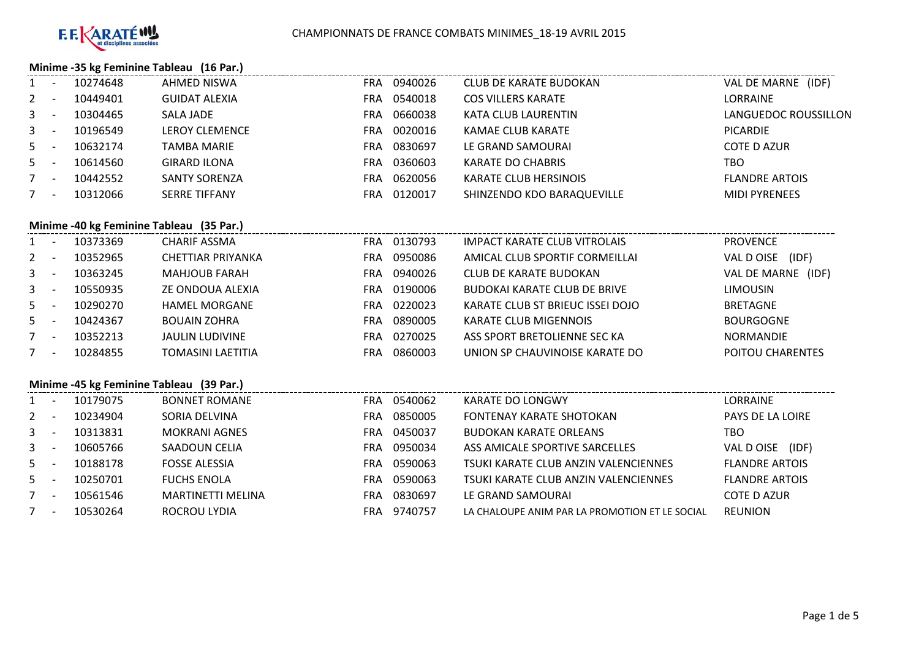

#### **Minime -35 kg Feminine Tableau (16 Par.)**

| $1 -$   |                                          | 10274648 | AHMED NISWA            |            | FRA 0940026 | CLUB DE KARATE BUDOKAN              | VAL DE MARNE (IDF)    |  |  |  |  |
|---------|------------------------------------------|----------|------------------------|------------|-------------|-------------------------------------|-----------------------|--|--|--|--|
| $2 -$   |                                          | 10449401 | <b>GUIDAT ALEXIA</b>   |            | FRA 0540018 | <b>COS VILLERS KARATE</b>           | LORRAINE              |  |  |  |  |
| $3 - 1$ |                                          | 10304465 | SALA JADE              | <b>FRA</b> | 0660038     | KATA CLUB LAURENTIN                 | LANGUEDOC ROUSSILLON  |  |  |  |  |
| $3 - 1$ |                                          | 10196549 | <b>LEROY CLEMENCE</b>  | FRA        | 0020016     | KAMAE CLUB KARATE                   | <b>PICARDIE</b>       |  |  |  |  |
| $5 -$   |                                          | 10632174 | <b>TAMBA MARIE</b>     |            | FRA 0830697 | LE GRAND SAMOURAI                   | COTE D AZUR           |  |  |  |  |
| $5 -$   |                                          | 10614560 | <b>GIRARD ILONA</b>    |            | FRA 0360603 | KARATE DO CHABRIS                   | <b>TBO</b>            |  |  |  |  |
| $7 -$   |                                          | 10442552 | <b>SANTY SORENZA</b>   |            | FRA 0620056 | KARATE CLUB HERSINOIS               | <b>FLANDRE ARTOIS</b> |  |  |  |  |
| $7 -$   |                                          | 10312066 | <b>SERRE TIFFANY</b>   |            | FRA 0120017 | SHINZENDO KDO BARAQUEVILLE          | <b>MIDI PYRENEES</b>  |  |  |  |  |
|         | Minime -40 kg Feminine Tableau (35 Par.) |          |                        |            |             |                                     |                       |  |  |  |  |
| $1 -$   |                                          | 10373369 | CHARIF ASSMA           |            | FRA 0130793 | <b>IMPACT KARATE CLUB VITROLAIS</b> | <b>PROVENCE</b>       |  |  |  |  |
| $2 -$   |                                          | 10352965 | CHETTIAR PRIYANKA      |            | FRA 0950086 | AMICAL CLUB SPORTIF CORMEILLAI      | VAL D OISE (IDF)      |  |  |  |  |
|         | $3 - 1$                                  | 10363245 | <b>MAHJOUB FARAH</b>   |            | FRA 0940026 | CLUB DE KARATE BUDOKAN              | VAL DE MARNE (IDF)    |  |  |  |  |
| $3 - 1$ |                                          | 10550935 | ZE ONDOUA ALEXIA       |            | FRA 0190006 | <b>BUDOKAI KARATE CLUB DE BRIVE</b> | <b>LIMOUSIN</b>       |  |  |  |  |
| $5 -$   |                                          | 10290270 | <b>HAMEL MORGANE</b>   |            | FRA 0220023 | KARATE CLUB ST BRIEUC ISSEI DOJO    | <b>BRETAGNE</b>       |  |  |  |  |
| $5 -$   |                                          | 10424367 | <b>BOUAIN ZOHRA</b>    |            | FRA 0890005 | KARATE CLUB MIGENNOIS               | <b>BOURGOGNE</b>      |  |  |  |  |
| $7 -$   |                                          | 10352213 | <b>JAULIN LUDIVINE</b> |            | FRA 0270025 | ASS SPORT BRETOLIENNE SEC KA        | <b>NORMANDIE</b>      |  |  |  |  |
| $7 -$   |                                          | 10284855 | TOMASINI LAETITIA      | FRA        | 0860003     | UNION SP CHAUVINOISE KARATE DO      | POITOU CHARENTES      |  |  |  |  |

# **Minime -45 kg Feminine Tableau (39 Par.)**

| $1 \quad$    | 10179075 | <b>BONNET ROMANE</b>     | FRA | 0540062 | KARATE DO LONGWY                               | LORRAINE              |
|--------------|----------|--------------------------|-----|---------|------------------------------------------------|-----------------------|
| $2^{\circ}$  | 10234904 | SORIA DELVINA            | FRA | 0850005 | <b>FONTENAY KARATE SHOTOKAN</b>                | PAYS DE LA LOIRE      |
| $\mathbf{3}$ | 10313831 | <b>MOKRANI AGNES</b>     | FRA | 0450037 | <b>BUDOKAN KARATE ORLEANS</b>                  | TBO                   |
| $\mathbf{3}$ | 10605766 | SAADOUN CELIA            | FRA | 0950034 | ASS AMICALE SPORTIVE SARCELLES                 | (IDF)<br>VAL D OISE   |
| $5 -$        | 10188178 | <b>FOSSE ALESSIA</b>     | FRA | 0590063 | TSUKI KARATE CLUB ANZIN VALENCIENNES           | <b>FLANDRE ARTOIS</b> |
| 5            | 10250701 | <b>FUCHS ENOLA</b>       | FRA | 0590063 | TSUKI KARATE CLUB ANZIN VALENCIENNES           | <b>FLANDRE ARTOIS</b> |
|              | 10561546 | <b>MARTINETTI MELINA</b> | FRA | 0830697 | LE GRAND SAMOURAI                              | <b>COTE D AZUR</b>    |
|              | 10530264 | ROCROU LYDIA             | FRA | 9740757 | LA CHALOUPE ANIM PAR LA PROMOTION ET LE SOCIAL | <b>REUNION</b>        |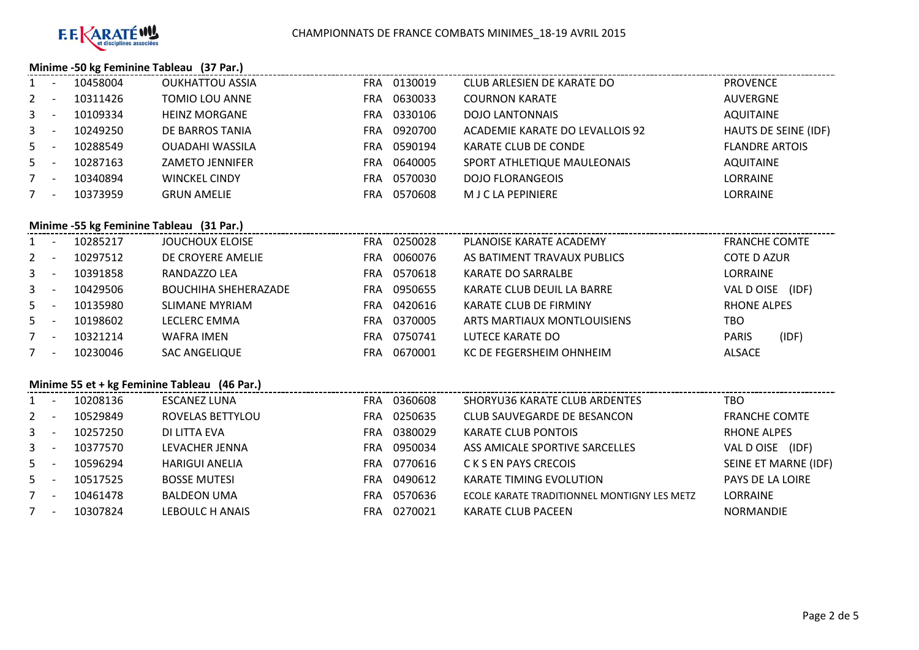

# **Minime -50 kg Feminine Tableau (37 Par.)**

|       | $\frac{1}{2}$ is interested by $\frac{1}{2}$ is $\frac{1}{2}$ in $\frac{1}{2}$ in $\frac{1}{2}$ is $\frac{1}{2}$ in $\frac{1}{2}$ in $\frac{1}{2}$ |          |                        |            |         |                                 |                       |  |  |  |  |
|-------|----------------------------------------------------------------------------------------------------------------------------------------------------|----------|------------------------|------------|---------|---------------------------------|-----------------------|--|--|--|--|
| $1 -$ |                                                                                                                                                    | 10458004 | <b>OUKHATTOU ASSIA</b> | <b>FRA</b> | 0130019 | CLUB ARLESIEN DE KARATE DO      | <b>PROVENCE</b>       |  |  |  |  |
| $2 -$ |                                                                                                                                                    | 10311426 | TOMIO LOU ANNE         | <b>FRA</b> | 0630033 | <b>COURNON KARATE</b>           | <b>AUVERGNE</b>       |  |  |  |  |
| $3 -$ |                                                                                                                                                    | 10109334 | <b>HEINZ MORGANE</b>   | <b>FRA</b> | 0330106 | <b>DOJO LANTONNAIS</b>          | <b>AQUITAINE</b>      |  |  |  |  |
| $3 -$ |                                                                                                                                                    | 10249250 | DE BARROS TANIA        | <b>FRA</b> | 0920700 | ACADEMIE KARATE DO LEVALLOIS 92 | HAUTS DE SEINE (IDF)  |  |  |  |  |
| $5 -$ |                                                                                                                                                    | 10288549 | <b>OUADAHI WASSILA</b> | <b>FRA</b> | 0590194 | KARATE CLUB DE CONDE            | <b>FLANDRE ARTOIS</b> |  |  |  |  |
| $5 -$ |                                                                                                                                                    | 10287163 | <b>ZAMETO JENNIFER</b> | <b>FRA</b> | 0640005 | SPORT ATHLETIQUE MAULEONAIS     | <b>AQUITAINE</b>      |  |  |  |  |
| $7 -$ |                                                                                                                                                    | 10340894 | <b>WINCKEL CINDY</b>   | FRA        | 0570030 | <b>DOJO FLORANGEOIS</b>         | LORRAINE              |  |  |  |  |
| $7 -$ |                                                                                                                                                    | 10373959 | <b>GRUN AMELIE</b>     | FRA        | 0570608 | M J C LA PEPINIERE              | LORRAINE              |  |  |  |  |
|       |                                                                                                                                                    |          |                        |            |         |                                 |                       |  |  |  |  |

## **Minime -55 kg Feminine Tableau (31 Par.)**

|              | $\overline{\phantom{a}}$ | 10285217 | <b>JOUCHOUX ELOISE</b>      | FRA | 0250028 | PLANOISE KARATE ACADEMY     | <b>FRANCHE COMTE</b>  |  |
|--------------|--------------------------|----------|-----------------------------|-----|---------|-----------------------------|-----------------------|--|
| $2^{\circ}$  |                          | 10297512 | DE CROYERE AMELIE           | FRA | 0060076 | AS BATIMENT TRAVAUX PUBLICS | COTE D AZUR           |  |
| $\mathbf{3}$ | - -                      | 10391858 | RANDAZZO LEA                | FRA | 0570618 | KARATE DO SARRALBE          | LORRAINE              |  |
| $3 -$        |                          | 10429506 | <b>BOUCHIHA SHEHERAZADE</b> | FRA | 0950655 | KARATE CLUB DEUIL LA BARRE  | VAL D OISE<br>(IDF)   |  |
| $5 -$        |                          | 10135980 | SLIMANE MYRIAM              | FRA | 0420616 | KARATE CLUB DE FIRMINY      | <b>RHONE ALPES</b>    |  |
| $5 -$        |                          | 10198602 | LECLERC EMMA                | FRA | 0370005 | ARTS MARTIAUX MONTLOUISIENS | тво                   |  |
|              | $\overline{\phantom{a}}$ | 10321214 | WAFRA IMEN                  | FRA | 0750741 | LUTECE KARATE DO            | (IDF)<br><b>PARIS</b> |  |
|              | <b>.</b>                 | 10230046 | <b>SAC ANGELIQUE</b>        | FRA | 0670001 | KC DE FEGERSHEIM OHNHEIM    | ALSACE                |  |
|              |                          |          |                             |     |         |                             |                       |  |

## **Minime 55 et + kg Feminine Tableau (46 Par.)**

| $1 \quad$   | 10208136 | ESCANEZ LUNA          | <b>FRA</b> | 0360608 | SHORYU36 KARATE CLUB ARDENTES               | тво                  |
|-------------|----------|-----------------------|------------|---------|---------------------------------------------|----------------------|
| $2^{\circ}$ | 10529849 | ROVELAS BETTYLOU      | FRA        | 0250635 | CLUB SAUVEGARDE DE BESANCON                 | <b>FRANCHE COMTE</b> |
| $3 -$       | 10257250 | DI LITTA EVA          | FRA        | 0380029 | <b>KARATE CLUB PONTOIS</b>                  | RHONE ALPES          |
| $3 -$       | 10377570 | LEVACHER JENNA        | <b>FRA</b> | 0950034 | ASS AMICALE SPORTIVE SARCELLES              | (IDF)<br>VAL D OISE  |
| $5 -$       | 10596294 | <b>HARIGUI ANELIA</b> | FRA        | 0770616 | C K S EN PAYS CRECOIS                       | SEINE ET MARNE (IDF) |
| 5           | 10517525 | <b>BOSSE MUTESI</b>   | FRA        | 0490612 | <b>KARATE TIMING EVOLUTION</b>              | PAYS DE LA LOIRE     |
|             | 10461478 | <b>BALDEON UMA</b>    | FRA        | 0570636 | ECOLE KARATE TRADITIONNEL MONTIGNY LES METZ | LORRAINE             |
|             | 10307824 | LEBOULC H ANAIS       | FRA        | 0270021 | <b>KARATE CLUB PACEEN</b>                   | <b>NORMANDIE</b>     |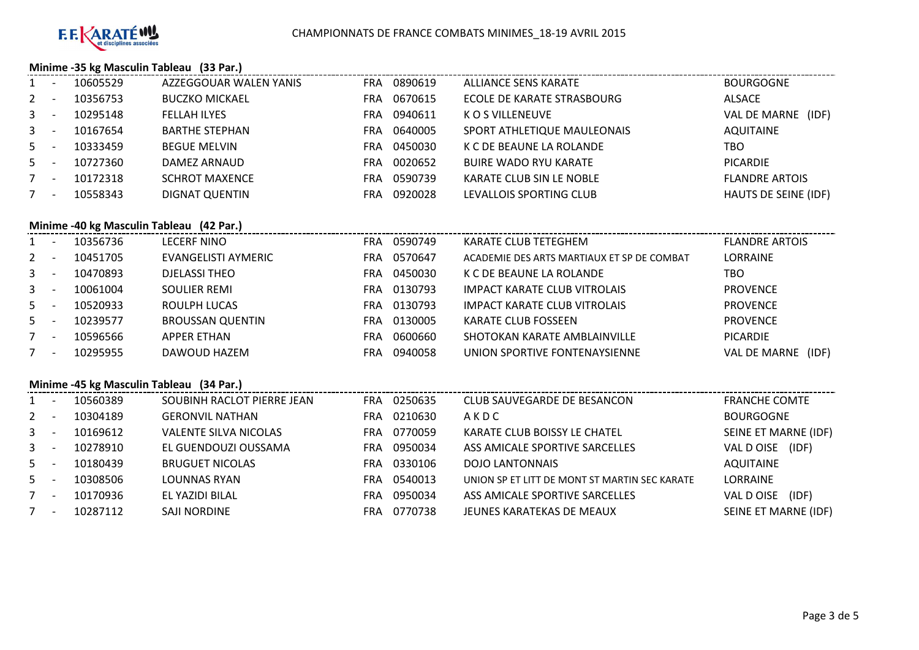

## **Minime -35 kg Masculin Tableau (33 Par.)**

| $1 -$ | 10605529 | AZZEGGOUAR WALEN YANIS | FRA | 0890619 | ALLIANCE SENS KARATE        | <b>BOURGOGNE</b>      |
|-------|----------|------------------------|-----|---------|-----------------------------|-----------------------|
| $2 -$ | 10356753 | <b>BUCZKO MICKAEL</b>  | FRA | 0670615 | ECOLE DE KARATE STRASBOURG  | <b>ALSACE</b>         |
| $3 -$ | 10295148 | <b>FELLAH ILYES</b>    | FRA | 0940611 | K O S VILLENEUVE            | VAL DE MARNE (IDF)    |
| $3 -$ | 10167654 | <b>BARTHE STEPHAN</b>  | FRA | 0640005 | SPORT ATHLETIQUE MAULEONAIS | <b>AQUITAINE</b>      |
| $5 -$ | 10333459 | <b>BEGUE MELVIN</b>    | FRA | 0450030 | K C DE BEAUNE LA ROLANDE    | тво                   |
| $5 -$ | 10727360 | DAMEZ ARNAUD           | FRA | 0020652 | BUIRE WADO RYU KARATE       | <b>PICARDIE</b>       |
| $7 -$ | 10172318 | <b>SCHROT MAXENCE</b>  | FRA | 0590739 | KARATE CLUB SIN LE NOBLE    | <b>FLANDRE ARTOIS</b> |
| $7 -$ | 10558343 | <b>DIGNAT QUENTIN</b>  | FRA | 0920028 | LEVALLOIS SPORTING CLUB     | HAUTS DE SEINE (IDF)  |

# **Minime -40 kg Masculin Tableau (42 Par.)**

| $1 -$ | 10356736 | <b>LECERF NINO</b>      | FRA        | 0590749 | KARATE CLUB TETEGHEM                       | <b>FLANDRE ARTOIS</b> |
|-------|----------|-------------------------|------------|---------|--------------------------------------------|-----------------------|
| $2 -$ | 10451705 | EVANGELISTI AYMERIC     | FRA        | 0570647 | ACADEMIE DES ARTS MARTIAUX ET SP DE COMBAT | <b>LORRAINE</b>       |
| $3 -$ | 10470893 | <b>DJELASSI THEO</b>    | FRA        | 0450030 | K C DE BEAUNE LA ROLANDE                   | TBO                   |
| $3 -$ | 10061004 | <b>SOULIER REMI</b>     | FRA        | 0130793 | <b>IMPACT KARATE CLUB VITROLAIS</b>        | <b>PROVENCE</b>       |
| $5 -$ | 10520933 | ROULPH LUCAS            | <b>FRA</b> | 0130793 | <b>IMPACT KARATE CLUB VITROLAIS</b>        | <b>PROVENCE</b>       |
| $5 -$ | 10239577 | <b>BROUSSAN QUENTIN</b> | FRA        | 0130005 | KARATE CLUB FOSSEEN                        | <b>PROVENCE</b>       |
| $7 -$ | 10596566 | APPER ETHAN             | FRA        | 0600660 | SHOTOKAN KARATE AMBLAINVILLE               | <b>PICARDIE</b>       |
| $7 -$ | 10295955 | DAWOUD HAZEM            | FRA        | 0940058 | UNION SPORTIVE FONTENAYSIENNE              | VAL DE MARNE (IDF)    |

#### **Minime -45 kg Masculin Tableau (34 Par.)**

| $1 \quad$    | 10560389 | SOUBINH RACLOT PIERRE JEAN   | <b>FRA</b> | 0250635 | CLUB SAUVEGARDE DE BESANCON                   | <b>FRANCHE COMTE</b> |
|--------------|----------|------------------------------|------------|---------|-----------------------------------------------|----------------------|
| $2^{\circ}$  | 10304189 | <b>GERONVIL NATHAN</b>       | FRA        | 0210630 | AKDC                                          | <b>BOURGOGNE</b>     |
| $\mathbf{3}$ | 10169612 | <b>VALENTE SILVA NICOLAS</b> | <b>FRA</b> | 0770059 | KARATE CLUB BOISSY LE CHATEL                  | SEINE ET MARNE (IDF) |
| $\mathbf{3}$ | 10278910 | EL GUENDOUZI OUSSAMA         | <b>FRA</b> | 0950034 | ASS AMICALE SPORTIVE SARCELLES                | (IDF)<br>VAL D OISE  |
| $5 -$        | 10180439 | <b>BRUGUET NICOLAS</b>       | FRA        | 0330106 | <b>DOJO LANTONNAIS</b>                        | <b>AQUITAINE</b>     |
| $5 -$        | 10308506 | <b>LOUNNAS RYAN</b>          | FRA        | 0540013 | UNION SP ET LITT DE MONT ST MARTIN SEC KARATE | <b>LORRAINE</b>      |
|              | 10170936 | EL YAZIDI BILAL              | <b>FRA</b> | 0950034 | ASS AMICALE SPORTIVE SARCELLES                | VAL D OISE<br>(IDF)  |
|              | 10287112 | <b>SAJI NORDINE</b>          | FRA        | 0770738 | JEUNES KARATEKAS DE MEAUX                     | SEINE ET MARNE (IDF) |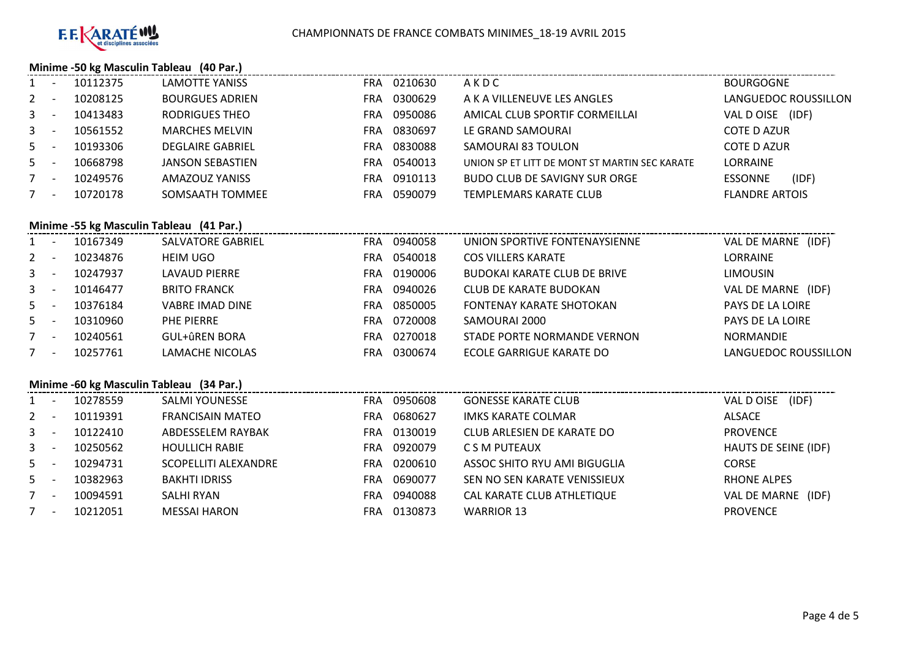

#### **Minime -50 kg Masculin Tableau (40 Par.)**

| $1 -$   |                          | 10112375 | <b>LAMOTTE YANISS</b>   | FRA        | 0210630 | AKDC                                          | <b>BOURGOGNE</b>        |
|---------|--------------------------|----------|-------------------------|------------|---------|-----------------------------------------------|-------------------------|
| $2 -$   |                          | 10208125 | <b>BOURGUES ADRIEN</b>  | FRA        | 0300629 | A K A VILLENEUVE LES ANGLES                   | LANGUEDOC ROUSSILLON    |
| $3 - 5$ |                          | 10413483 | <b>RODRIGUES THEO</b>   | FRA        | 0950086 | AMICAL CLUB SPORTIF CORMEILLAI                | VAL DOISE (IDF)         |
| $3 - 5$ |                          | 10561552 | <b>MARCHES MELVIN</b>   | <b>FRA</b> | 0830697 | LE GRAND SAMOURAI                             | <b>COTE D AZUR</b>      |
| $5 -$   |                          | 10193306 | <b>DEGLAIRE GABRIEL</b> | FRA        | 0830088 | SAMOURAI 83 TOULON                            | <b>COTE D AZUR</b>      |
| $5 -$   |                          | 10668798 | <b>JANSON SEBASTIEN</b> | FRA        | 0540013 | UNION SP ET LITT DE MONT ST MARTIN SEC KARATE | <b>LORRAINE</b>         |
| $7 -$   |                          | 10249576 | AMAZOUZ YANISS          | FRA        | 0910113 | BUDO CLUB DE SAVIGNY SUR ORGE                 | (IDF)<br><b>ESSONNE</b> |
|         | $\overline{\phantom{a}}$ | 10720178 | SOMSAATH TOMMEE         | FRA        | 0590079 | TEMPLEMARS KARATE CLUB                        | <b>FLANDRE ARTOIS</b>   |
|         |                          |          |                         |            |         |                                               |                         |

#### **Minime -55 kg Masculin Tableau (41 Par.)**

| $1 -$       |                          | 10167349 | <b>SALVATORE GABRIEL</b> | <b>FRA</b> | 0940058 | UNION SPORTIVE FONTENAYSIENNE | VAL DE MARNE (IDF)   |
|-------------|--------------------------|----------|--------------------------|------------|---------|-------------------------------|----------------------|
| $2 -$       |                          | 10234876 | <b>HEIM UGO</b>          | FRA        | 0540018 | <b>COS VILLERS KARATE</b>     | <b>LORRAINE</b>      |
| $3 -$       |                          | 10247937 | <b>LAVAUD PIERRE</b>     | FRA        | 0190006 | BUDOKAI KARATE CLUB DE BRIVE  | <b>LIMOUSIN</b>      |
| $3 -$       |                          | 10146477 | <b>BRITO FRANCK</b>      | FRA        | 0940026 | CLUB DE KARATE BUDOKAN        | VAL DE MARNE (IDF)   |
| $5 -$       |                          | 10376184 | VABRE IMAD DINE          | FRA        | 0850005 | FONTENAY KARATE SHOTOKAN      | PAYS DE LA LOIRE     |
| $5 -$       |                          | 10310960 | PHE PIERRE               | FRA        | 0720008 | SAMOURAI 2000                 | PAYS DE LA LOIRE     |
| $7 -$       |                          | 10240561 | <b>GUL+ûREN BORA</b>     | FRA        | 0270018 | STADE PORTE NORMANDE VERNON   | <b>NORMANDIE</b>     |
| $7^{\circ}$ | $\overline{\phantom{a}}$ | 10257761 | LAMACHE NICOLAS          | FRA        | 0300674 | ECOLE GARRIGUE KARATE DO      | LANGUEDOC ROUSSILLON |
|             |                          |          |                          |            |         |                               |                      |

#### **Minime -60 kg Masculin Tableau (34 Par.)**

| $1 -$          | 10278559 | <b>SALMI YOUNESSE</b>   | <b>FRA</b> | 0950608 | <b>GONESSE KARATE CLUB</b>   | (IDF)<br>VAL D OISE   |
|----------------|----------|-------------------------|------------|---------|------------------------------|-----------------------|
| $2 -$          | 10119391 | <b>FRANCISAIN MATEO</b> | FRA        | 0680627 | <b>IMKS KARATE COLMAR</b>    | <b>ALSACE</b>         |
| $\mathbf{3}$   | 10122410 | ABDESSELEM RAYBAK       | <b>FRA</b> | 0130019 | CLUB ARLESIEN DE KARATE DO   | <b>PROVENCE</b>       |
| 3 <sup>7</sup> | 10250562 | <b>HOULLICH RABIE</b>   | FRA        | 0920079 | C S M PUTEAUX                | HAUTS DE SEINE (IDF)  |
| $5 -$          | 10294731 | SCOPELLITI ALEXANDRE    | <b>FRA</b> | 0200610 | ASSOC SHITO RYU AMI BIGUGLIA | <b>CORSE</b>          |
| $5 -$          | 10382963 | <b>BAKHTI IDRISS</b>    | FRA        | 0690077 | SEN NO SEN KARATE VENISSIEUX | RHONE ALPES           |
| $7^{\circ}$    | 10094591 | SALHI RYAN              | FRA        | 0940088 | CAL KARATE CLUB ATHLETIQUE   | VAL DE MARNE<br>(IDF) |
|                | 10212051 | <b>MESSAI HARON</b>     | FRA        | 0130873 | <b>WARRIOR 13</b>            | <b>PROVENCE</b>       |